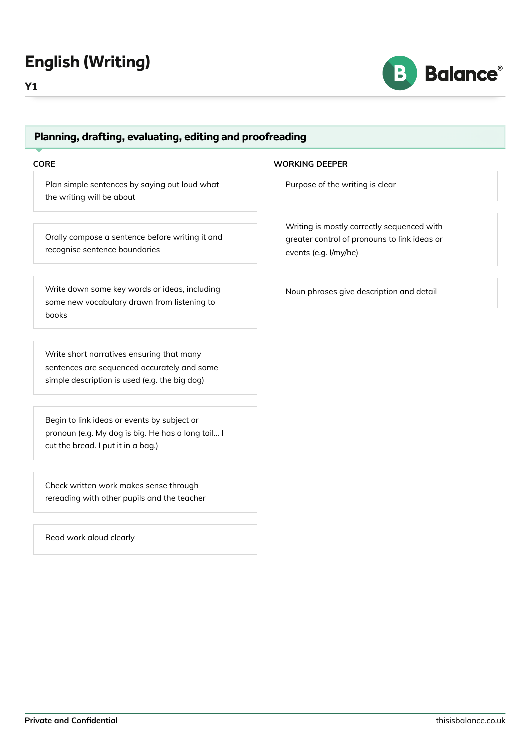

#### **CORE**

Plan simple sentences by saying out loud what the writing will be about

Orally compose a sentence before writing it and recognise sentence boundaries

Write down some key words or ideas, including some new vocabulary drawn from listening to books

Write short narratives ensuring that many sentences are sequenced accurately and some simple description is used (e.g. the big dog)

Begin to link ideas or events by subject or pronoun (e.g. My dog is big. He has a long tail… I cut the bread. I put it in a bag.)

Check written work makes sense through rereading with other pupils and the teacher

Read work aloud clearly

#### **WORKING DEEPER**

Purpose of the writing is clear

Writing is mostly correctly sequenced with greater control of pronouns to link ideas or events (e.g. I/my/he)

Noun phrases give description and detail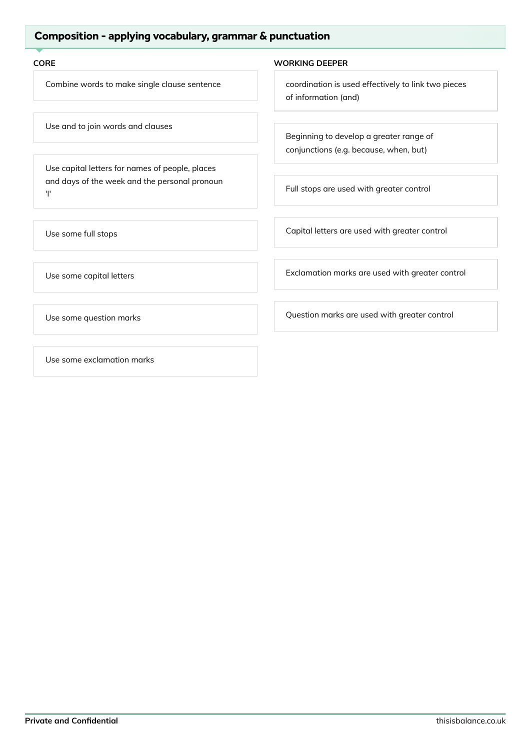# Composition - applying vocabulary, grammar & punctuation

### **CORE**

Combine words to make single clause sentence

Use and to join words and clauses

Use capital letters for names of people, places and days of the week and the personal pronoun 'I'

Use some full stops

Use some capital letters

Use some question marks

**WORKING DEEPER**

coordination is used effectively to link two pieces of information (and)

Beginning to develop a greater range of conjunctions (e.g. because, when, but)

Full stops are used with greater control

Capital letters are used with greater control

Exclamation marks are used with greater control

Question marks are used with greater control

Use some exclamation marks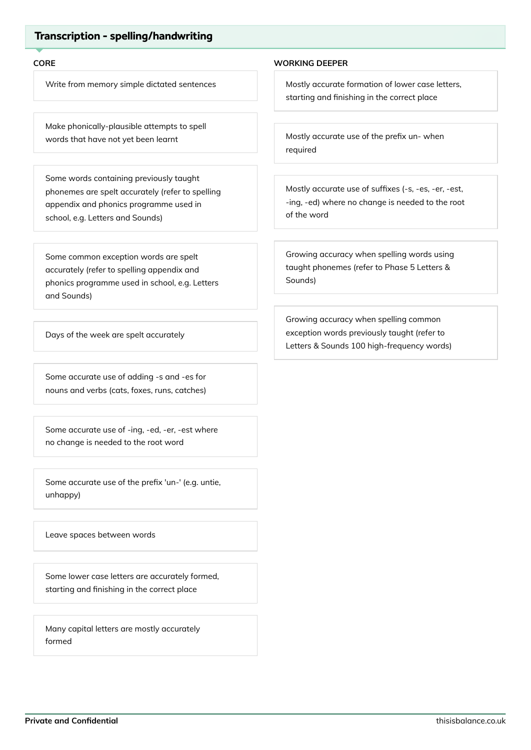## Transcription - spelling/handwriting

### **CORE**

Write from memory simple dictated sentences

Make phonically-plausible attempts to spell words that have not yet been learnt

Some words containing previously taught phonemes are spelt accurately (refer to spelling appendix and phonics programme used in school, e.g. Letters and Sounds)

Some common exception words are spelt accurately (refer to spelling appendix and phonics programme used in school, e.g. Letters and Sounds)

Days of the week are spelt accurately

Some accurate use of adding -s and -es for nouns and verbs (cats, foxes, runs, catches)

Some accurate use of -ing, -ed, -er, -est where no change is needed to the root word

Some accurate use of the prefix 'un-' (e.g. untie, unhappy)

Leave spaces between words

Some lower case letters are accurately formed, starting and finishing in the correct place

Many capital letters are mostly accurately formed

#### **WORKING DEEPER**

Mostly accurate formation of lower case letters, starting and finishing in the correct place

Mostly accurate use of the prefix un- when required

Mostly accurate use of suffixes (-s, -es, -er, -est, -ing, -ed) where no change is needed to the root of the word

Growing accuracy when spelling words using taught phonemes (refer to Phase 5 Letters & Sounds)

Growing accuracy when spelling common exception words previously taught (refer to Letters & Sounds 100 high-frequency words)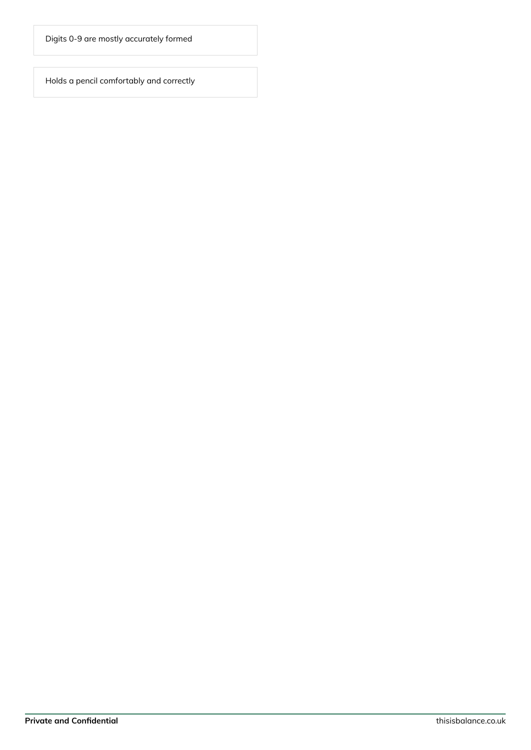Digits 0-9 are mostly accurately formed

Holds a pencil comfortably and correctly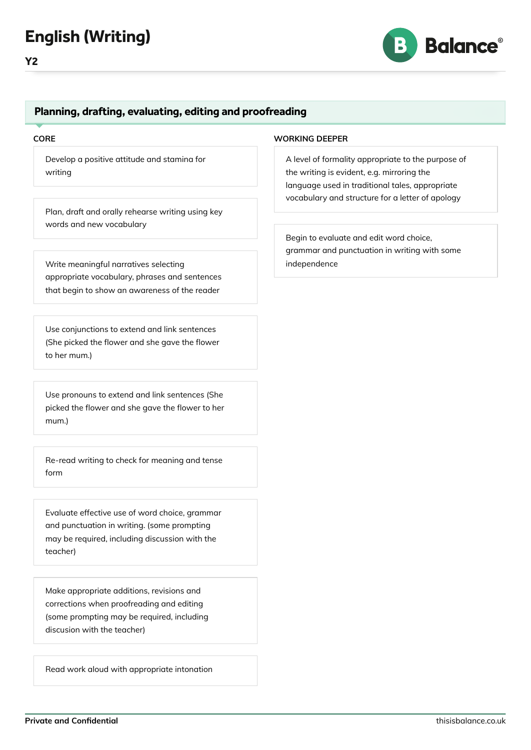

#### **CORE**

Y2

Develop a positive attitude and stamina for writing

Plan, draft and orally rehearse writing using key words and new vocabulary

Write meaningful narratives selecting appropriate vocabulary, phrases and sentences that begin to show an awareness of the reader

Use conjunctions to extend and link sentences (She picked the flower and she gave the flower to her mum.)

Use pronouns to extend and link sentences (She picked the flower and she gave the flower to her mum.)

Re-read writing to check for meaning and tense form

Evaluate effective use of word choice, grammar and punctuation in writing. (some prompting may be required, including discussion with the teacher)

Make appropriate additions, revisions and corrections when proofreading and editing (some prompting may be required, including discusion with the teacher)

Read work aloud with appropriate intonation

### **WORKING DEEPER**

A level of formality appropriate to the purpose of the writing is evident, e.g. mirroring the language used in traditional tales, appropriate vocabulary and structure for a letter of apology

Begin to evaluate and edit word choice, grammar and punctuation in writing with some independence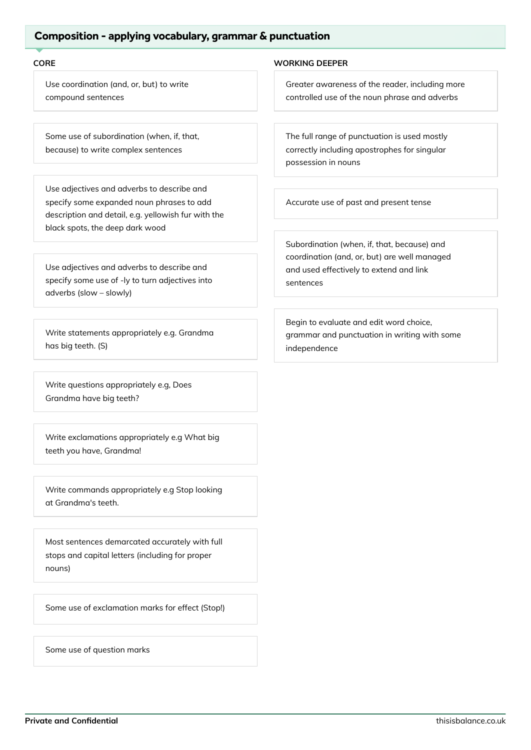## Composition - applying vocabulary, grammar & punctuation

#### **CORE**

Use coordination (and, or, but) to write compound sentences

Some use of subordination (when, if, that, because) to write complex sentences

Use adjectives and adverbs to describe and specify some expanded noun phrases to add description and detail, e.g. yellowish fur with the black spots, the deep dark wood

Use adjectives and adverbs to describe and specify some use of -ly to turn adjectives into adverbs (slow – slowly)

Write statements appropriately e.g. Grandma has big teeth. (S)

Write questions appropriately e.g, Does Grandma have big teeth?

Write exclamations appropriately e.g What big teeth you have, Grandma!

Write commands appropriately e.g Stop looking at Grandma's teeth.

Most sentences demarcated accurately with full stops and capital letters (including for proper nouns)

Some use of exclamation marks for effect (Stop!)

Some use of question marks

#### **WORKING DEEPER**

Greater awareness of the reader, including more controlled use of the noun phrase and adverbs

The full range of punctuation is used mostly correctly including apostrophes for singular possession in nouns

Accurate use of past and present tense

Subordination (when, if, that, because) and coordination (and, or, but) are well managed and used effectively to extend and link sentences

Begin to evaluate and edit word choice, grammar and punctuation in writing with some independence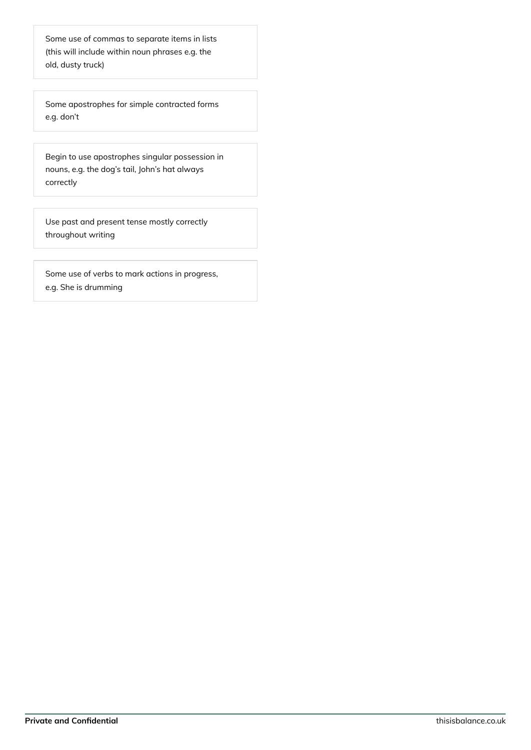Some use of commas to separate items in lists (this will include within noun phrases e.g. the old, dusty truck)

Some apostrophes for simple contracted forms e.g. don't

Begin to use apostrophes singular possession in nouns, e.g. the dog's tail, John's hat always correctly

Use past and present tense mostly correctly throughout writing

Some use of verbs to mark actions in progress, e.g. She is drumming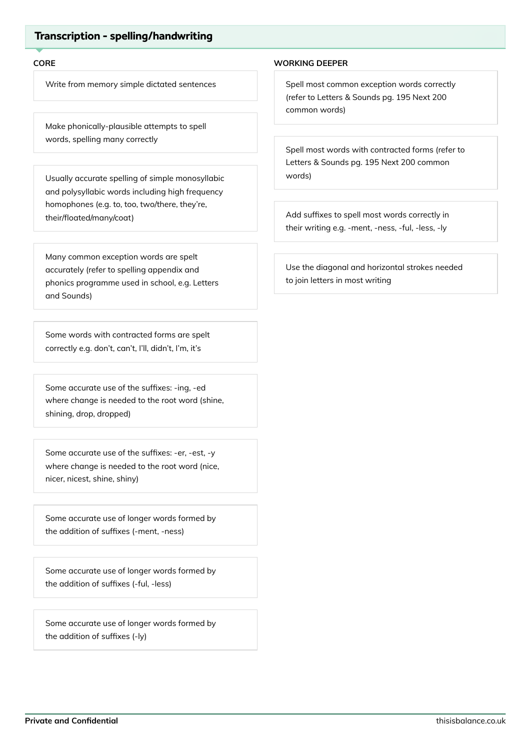Write from memory simple dictated sentences

Make phonically-plausible attempts to spell words, spelling many correctly

Usually accurate spelling of simple monosyllabic and polysyllabic words including high frequency homophones (e.g. to, too, two/there, they're, their/floated/many/coat)

Many common exception words are spelt accurately (refer to spelling appendix and phonics programme used in school, e.g. Letters and Sounds)

Some words with contracted forms are spelt correctly e.g. don't, can't, I'll, didn't, I'm, it's

Some accurate use of the suffixes: -ing, -ed where change is needed to the root word (shine, shining, drop, dropped)

Some accurate use of the suffixes: -er, -est, -y where change is needed to the root word (nice, nicer, nicest, shine, shiny)

Some accurate use of longer words formed by the addition of suffixes (-ment, -ness)

Some accurate use of longer words formed by the addition of suffixes (-ful, -less)

Some accurate use of longer words formed by the addition of suffixes (-ly)

### **WORKING DEEPER**

Spell most common exception words correctly (refer to Letters & Sounds pg. 195 Next 200 common words)

Spell most words with contracted forms (refer to Letters & Sounds pg. 195 Next 200 common words)

Add suffixes to spell most words correctly in their writing e.g. -ment, -ness, -ful, -less, -ly

Use the diagonal and horizontal strokes needed to join letters in most writing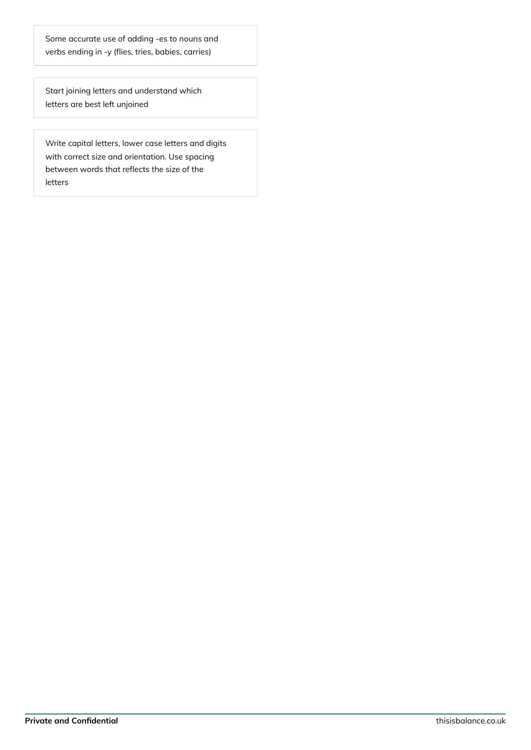Some accurate use of adding -es to nouns and verbs ending in -y (flies, tries, babies, carries)

Start joining letters and understand which letters are best left unjoined

Write capital letters, lower case letters and digits with correct size and orientation. Use spacing between words that reflects the size of the letters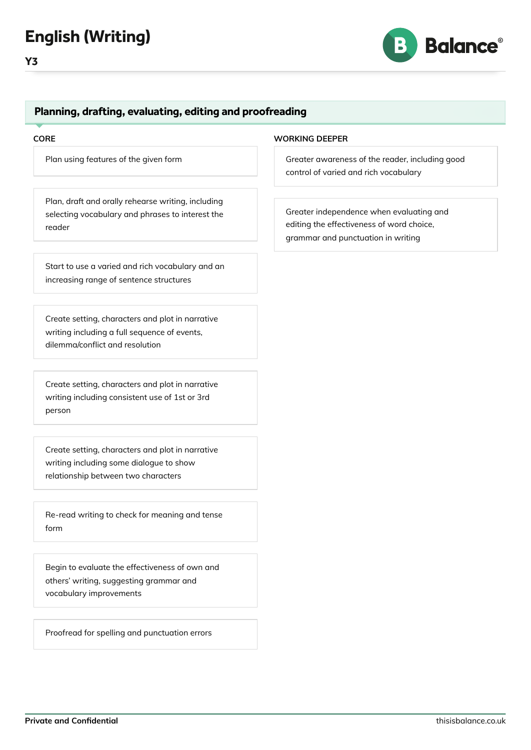



#### **CORE**

Plan using features of the given form

Plan, draft and orally rehearse writing, including selecting vocabulary and phrases to interest the reader

Start to use a varied and rich vocabulary and an increasing range of sentence structures

Create setting, characters and plot in narrative writing including a full sequence of events, dilemma/conflict and resolution

Create setting, characters and plot in narrative writing including consistent use of 1st or 3rd person

Create setting, characters and plot in narrative writing including some dialogue to show relationship between two characters

Re-read writing to check for meaning and tense form

Begin to evaluate the effectiveness of own and others' writing, suggesting grammar and vocabulary improvements

Proofread for spelling and punctuation errors

#### **WORKING DEEPER**

Greater awareness of the reader, including good control of varied and rich vocabulary

Greater independence when evaluating and editing the effectiveness of word choice, grammar and punctuation in writing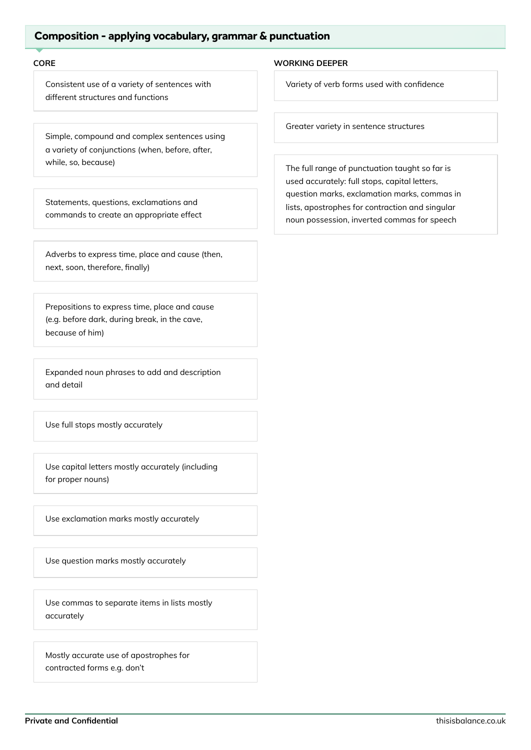## Composition - applying vocabulary, grammar & punctuation

#### **CORE**

Consistent use of a variety of sentences with different structures and functions

Simple, compound and complex sentences using a variety of conjunctions (when, before, after, while, so, because)

Statements, questions, exclamations and commands to create an appropriate effect

Adverbs to express time, place and cause (then, next, soon, therefore, finally)

Prepositions to express time, place and cause (e.g. before dark, during break, in the cave, because of him)

Expanded noun phrases to add and description and detail

Use full stops mostly accurately

Use capital letters mostly accurately (including for proper nouns)

Use exclamation marks mostly accurately

Use question marks mostly accurately

Use commas to separate items in lists mostly accurately

Mostly accurate use of apostrophes for contracted forms e.g. don't

#### **WORKING DEEPER**

Variety of verb forms used with confidence

Greater variety in sentence structures

The full range of punctuation taught so far is used accurately: full stops, capital letters, question marks, exclamation marks, commas in lists, apostrophes for contraction and singular noun possession, inverted commas for speech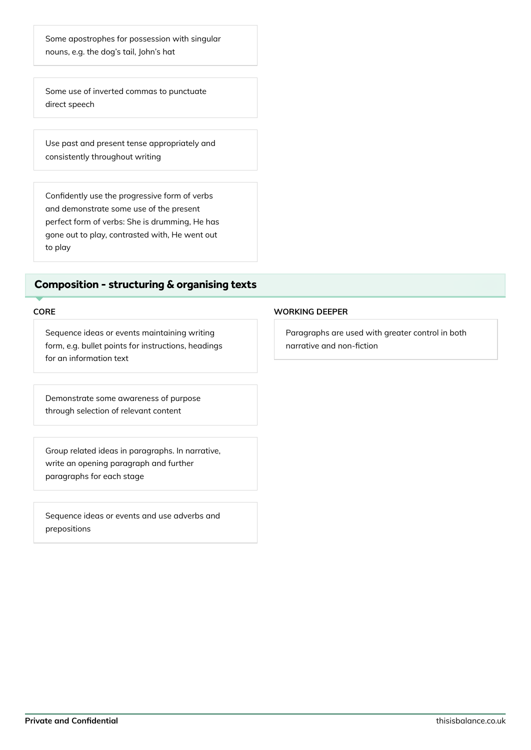Some apostrophes for possession with singular nouns, e.g. the dog's tail, John's hat

Some use of inverted commas to punctuate direct speech

Use past and present tense appropriately and consistently throughout writing

Confidently use the progressive form of verbs and demonstrate some use of the present perfect form of verbs: She is drumming, He has gone out to play, contrasted with, He went out to play

## Composition - structuring & organising texts

#### **CORE**

Sequence ideas or events maintaining writing form, e.g. bullet points for instructions, headings for an information text

Demonstrate some awareness of purpose through selection of relevant content

Group related ideas in paragraphs. In narrative, write an opening paragraph and further paragraphs for each stage

Sequence ideas or events and use adverbs and prepositions

### **WORKING DEEPER**

Paragraphs are used with greater control in both narrative and non-fiction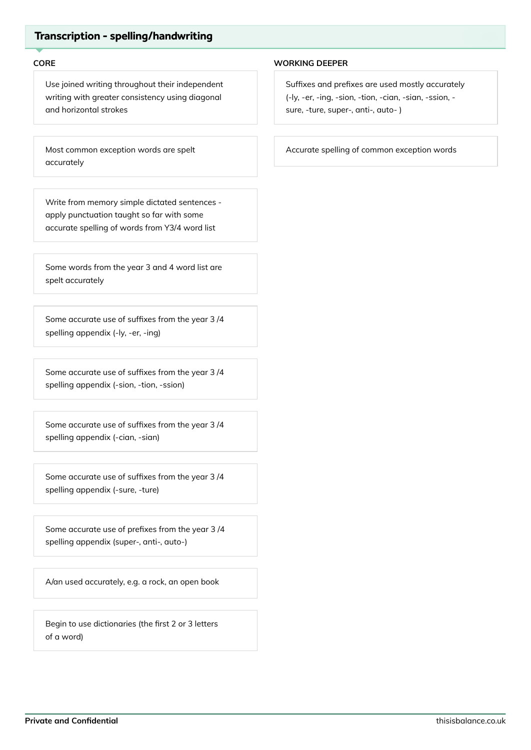## Transcription - spelling/handwriting

#### **CORE**

Use joined writing throughout their independent writing with greater consistency using diagonal and horizontal strokes

Most common exception words are spelt accurately

Write from memory simple dictated sentences apply punctuation taught so far with some accurate spelling of words from Y3/4 word list

Some words from the year 3 and 4 word list are spelt accurately

Some accurate use of suffixes from the year 3 /4 spelling appendix (-ly, -er, -ing)

Some accurate use of suffixes from the year 3 /4 spelling appendix (-sion, -tion, -ssion)

Some accurate use of suffixes from the year 3 /4 spelling appendix (-cian, -sian)

Some accurate use of suffixes from the year 3 /4 spelling appendix (-sure, -ture)

Some accurate use of prefixes from the year 3 /4 spelling appendix (super-, anti-, auto-)

A/an used accurately, e.g. a rock, an open book

Begin to use dictionaries (the first 2 or 3 letters of a word)

### **WORKING DEEPER**

Suffixes and prefixes are used mostly accurately (-ly, -er, -ing, -sion, -tion, -cian, -sian, -ssion, sure, -ture, super-, anti-, auto- )

Accurate spelling of common exception words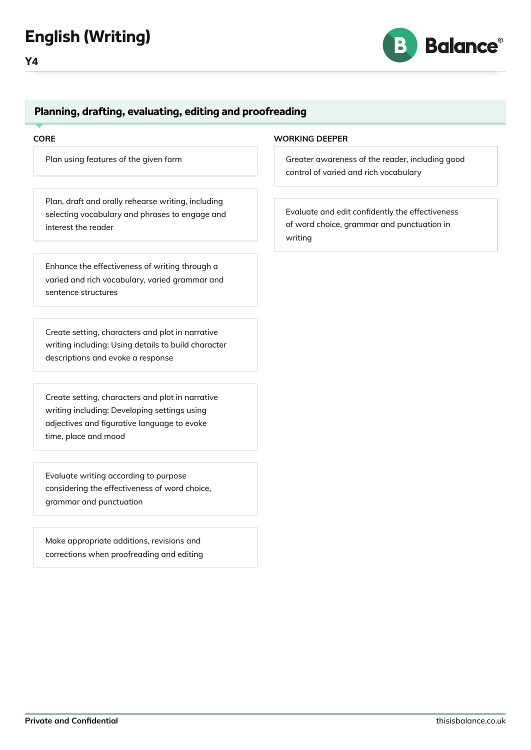



### **CORE**

Plan using features of the given form

Plan, draft and orally rehearse writing, including selecting vocabulary and phrases to engage and interest the reader

Enhance the effectiveness of writing through a varied and rich vocabulary, varied grammar and sentence structures

Create setting, characters and plot in narrative writing including: Using details to build character descriptions and evoke a response

Create setting, characters and plot in narrative writing including: Developing settings using adjectives and figurative language to evoke time, place and mood

Evaluate writing according to purpose considering the effectiveness of word choice, grammar and punctuation

Make appropriate additions, revisions and corrections when proofreading and editing

#### **WORKING DEEPER**

Greater awareness of the reader, including good control of varied and rich vocabulary

Evaluate and edit confidently the effectiveness of word choice, grammar and punctuation in writing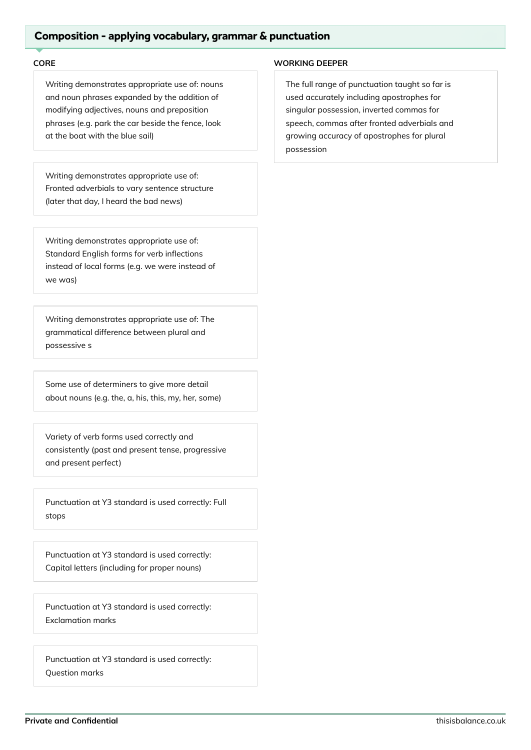Writing demonstrates appropriate use of: nouns and noun phrases expanded by the addition of modifying adjectives, nouns and preposition phrases (e.g. park the car beside the fence, look at the boat with the blue sail)

Writing demonstrates appropriate use of: Fronted adverbials to vary sentence structure (later that day, I heard the bad news)

Writing demonstrates appropriate use of: Standard English forms for verb inflections instead of local forms (e.g. we were instead of we was)

Writing demonstrates appropriate use of: The grammatical difference between plural and possessive s

Some use of determiners to give more detail about nouns (e.g. the, a, his, this, my, her, some)

Variety of verb forms used correctly and consistently (past and present tense, progressive and present perfect)

Punctuation at Y3 standard is used correctly: Full stops

Punctuation at Y3 standard is used correctly: Capital letters (including for proper nouns)

Punctuation at Y3 standard is used correctly: Exclamation marks

Punctuation at Y3 standard is used correctly: Question marks

### **WORKING DEEPER**

The full range of punctuation taught so far is used accurately including apostrophes for singular possession, inverted commas for speech, commas after fronted adverbials and growing accuracy of apostrophes for plural possession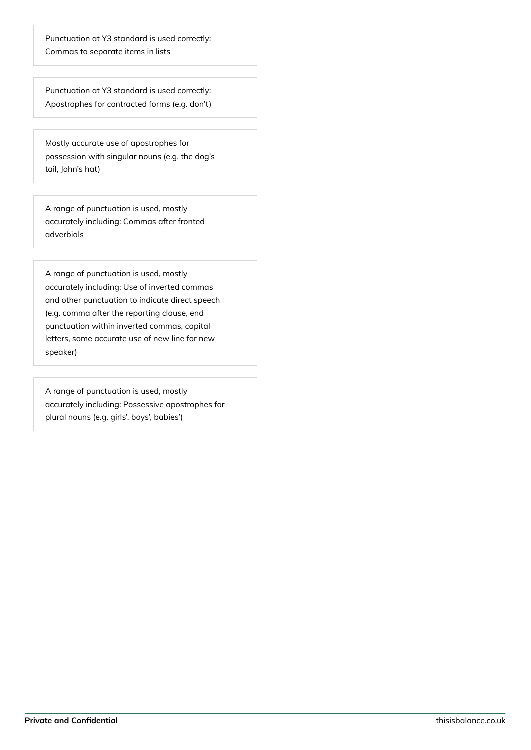Punctuation at Y3 standard is used correctly: Commas to separate items in lists

Punctuation at Y3 standard is used correctly: Apostrophes for contracted forms (e.g. don't)

Mostly accurate use of apostrophes for possession with singular nouns (e.g. the dog's tail, John's hat)

A range of punctuation is used, mostly accurately including: Commas after fronted adverbials

A range of punctuation is used, mostly accurately including: Use of inverted commas and other punctuation to indicate direct speech (e.g. comma after the reporting clause, end punctuation within inverted commas, capital letters, some accurate use of new line for new speaker)

A range of punctuation is used, mostly accurately including: Possessive apostrophes for plural nouns (e.g. girls', boys', babies')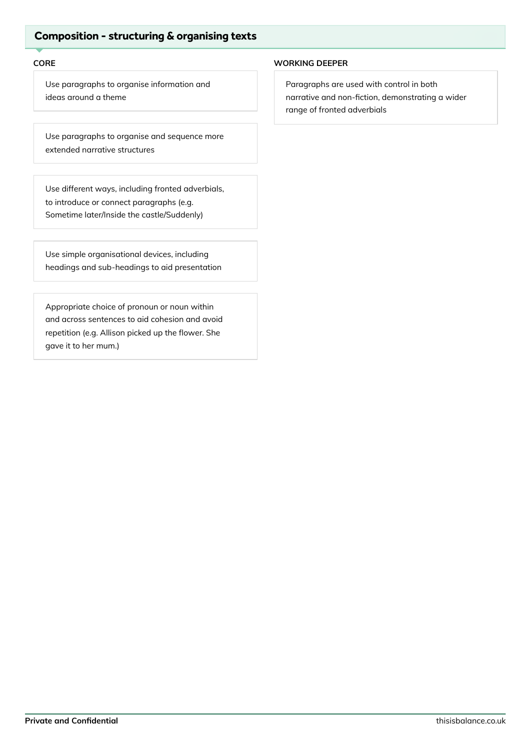Use paragraphs to organise information and ideas around a theme

Use paragraphs to organise and sequence more extended narrative structures

Use different ways, including fronted adverbials, to introduce or connect paragraphs (e.g. Sometime later/Inside the castle/Suddenly)

Use simple organisational devices, including headings and sub-headings to aid presentation

Appropriate choice of pronoun or noun within and across sentences to aid cohesion and avoid repetition (e.g. Allison picked up the flower. She gave it to her mum.)

### **WORKING DEEPER**

Paragraphs are used with control in both narrative and non-fiction, demonstrating a wider range of fronted adverbials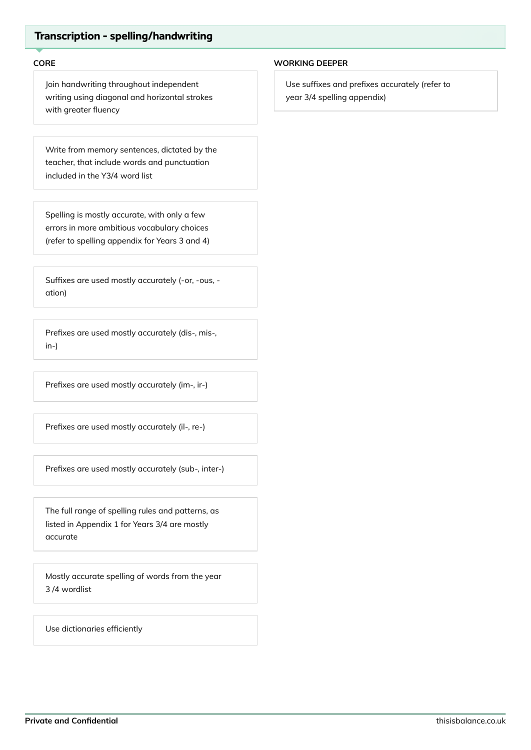## Transcription - spelling/handwriting

#### **CORE**

Join handwriting throughout independent writing using diagonal and horizontal strokes with greater fluency

Write from memory sentences, dictated by the teacher, that include words and punctuation included in the Y3/4 word list

Spelling is mostly accurate, with only a few errors in more ambitious vocabulary choices (refer to spelling appendix for Years 3 and 4)

Suffixes are used mostly accurately (-or, -ous, ation)

Prefixes are used mostly accurately (dis-, mis-, in-)

Prefixes are used mostly accurately (im-, ir-)

Prefixes are used mostly accurately (il-, re-)

Prefixes are used mostly accurately (sub-, inter-)

The full range of spelling rules and patterns, as listed in Appendix 1 for Years 3/4 are mostly accurate

Mostly accurate spelling of words from the year 3 /4 wordlist

Use dictionaries efficiently

### **WORKING DEEPER**

Use suffixes and prefixes accurately (refer to year 3/4 spelling appendix)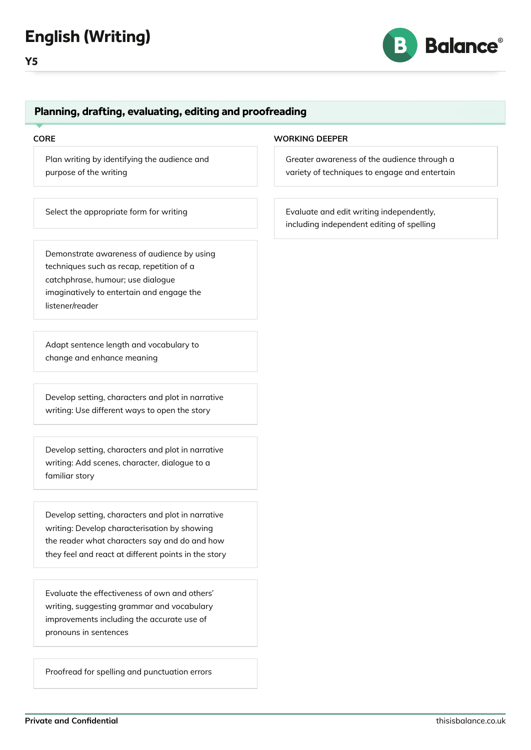



### **CORE**

Plan writing by identifying the audience and purpose of the writing

Select the appropriate form for writing

Demonstrate awareness of audience by using techniques such as recap, repetition of a catchphrase, humour; use dialogue imaginatively to entertain and engage the listener/reader

Adapt sentence length and vocabulary to change and enhance meaning

Develop setting, characters and plot in narrative writing: Use different ways to open the story

Develop setting, characters and plot in narrative writing: Add scenes, character, dialogue to a familiar story

Develop setting, characters and plot in narrative writing: Develop characterisation by showing the reader what characters say and do and how they feel and react at different points in the story

Evaluate the effectiveness of own and others' writing, suggesting grammar and vocabulary improvements including the accurate use of pronouns in sentences

Proofread for spelling and punctuation errors

### **WORKING DEEPER**

Greater awareness of the audience through a variety of techniques to engage and entertain

Evaluate and edit writing independently, including independent editing of spelling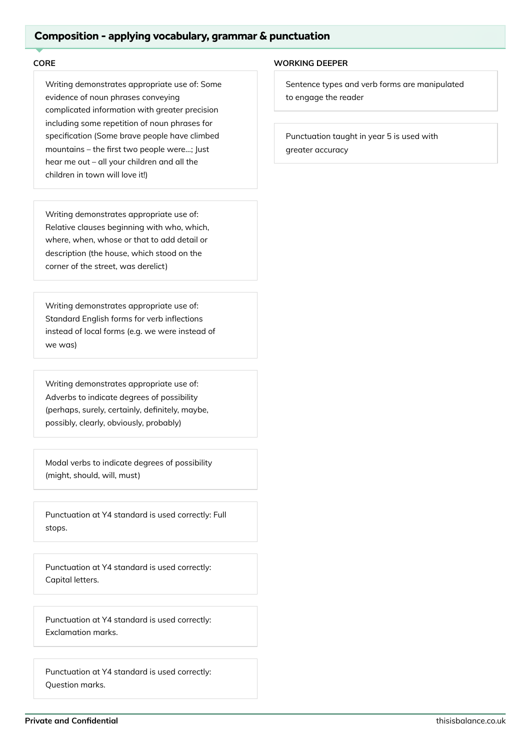Writing demonstrates appropriate use of: Some evidence of noun phrases conveying complicated information with greater precision including some repetition of noun phrases for specification (Some brave people have climbed mountains – the first two people were…; Just hear me out – all your children and all the children in town will love it!)

Writing demonstrates appropriate use of: Relative clauses beginning with who, which, where, when, whose or that to add detail or description (the house, which stood on the corner of the street, was derelict)

Writing demonstrates appropriate use of: Standard English forms for verb inflections instead of local forms (e.g. we were instead of we was)

Writing demonstrates appropriate use of: Adverbs to indicate degrees of possibility (perhaps, surely, certainly, definitely, maybe, possibly, clearly, obviously, probably)

Modal verbs to indicate degrees of possibility (might, should, will, must)

Punctuation at Y4 standard is used correctly: Full stops.

Punctuation at Y4 standard is used correctly: Capital letters.

Punctuation at Y4 standard is used correctly: Exclamation marks.

Punctuation at Y4 standard is used correctly: Question marks.

### **WORKING DEEPER**

Sentence types and verb forms are manipulated to engage the reader

Punctuation taught in year 5 is used with greater accuracy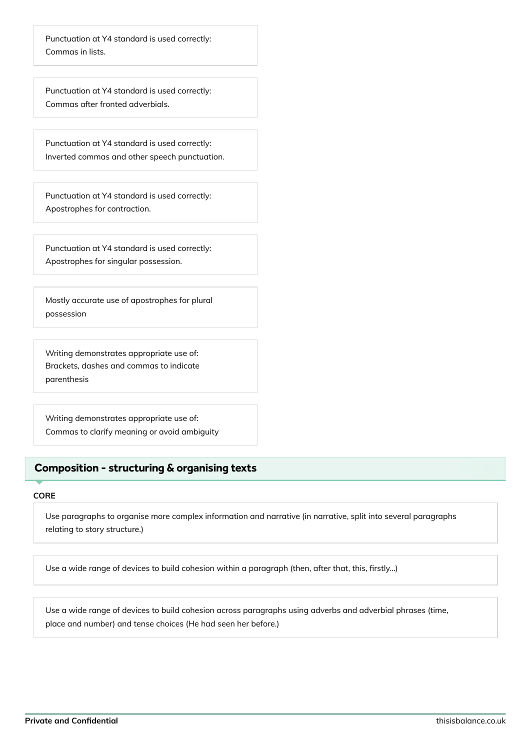Punctuation at Y4 standard is used correctly: Commas in lists.

Punctuation at Y4 standard is used correctly: Commas after fronted adverbials.

Punctuation at Y4 standard is used correctly: Inverted commas and other speech punctuation.

Punctuation at Y4 standard is used correctly: Apostrophes for contraction.

Punctuation at Y4 standard is used correctly: Apostrophes for singular possession.

Mostly accurate use of apostrophes for plural possession

Writing demonstrates appropriate use of: Brackets, dashes and commas to indicate parenthesis

Writing demonstrates appropriate use of: Commas to clarify meaning or avoid ambiguity

## Composition - structuring & organising texts

#### **CORE**

Use paragraphs to organise more complex information and narrative (in narrative, split into several paragraphs relating to story structure.)

Use a wide range of devices to build cohesion within a paragraph (then, after that, this, firstly…)

Use a wide range of devices to build cohesion across paragraphs using adverbs and adverbial phrases (time, place and number) and tense choices (He had seen her before.)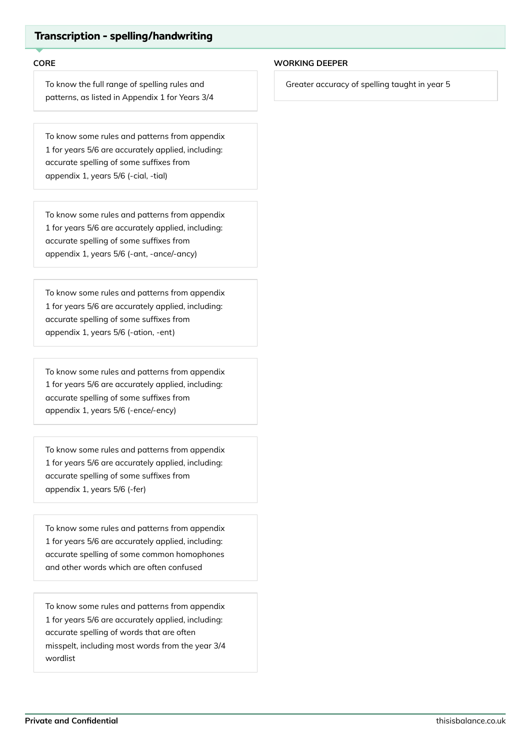To know the full range of spelling rules and patterns, as listed in Appendix 1 for Years 3/4

To know some rules and patterns from appendix 1 for years 5/6 are accurately applied, including: accurate spelling of some suffixes from appendix 1, years 5/6 (-cial, -tial)

To know some rules and patterns from appendix 1 for years 5/6 are accurately applied, including: accurate spelling of some suffixes from appendix 1, years 5/6 (-ant, -ance/-ancy)

To know some rules and patterns from appendix 1 for years 5/6 are accurately applied, including: accurate spelling of some suffixes from appendix 1, years 5/6 (-ation, -ent)

To know some rules and patterns from appendix 1 for years 5/6 are accurately applied, including: accurate spelling of some suffixes from appendix 1, years 5/6 (-ence/-ency)

To know some rules and patterns from appendix 1 for years 5/6 are accurately applied, including: accurate spelling of some suffixes from appendix 1, years 5/6 (-fer)

To know some rules and patterns from appendix 1 for years 5/6 are accurately applied, including: accurate spelling of some common homophones and other words which are often confused

To know some rules and patterns from appendix 1 for years 5/6 are accurately applied, including: accurate spelling of words that are often misspelt, including most words from the year 3/4 wordlist

### **WORKING DEEPER**

Greater accuracy of spelling taught in year 5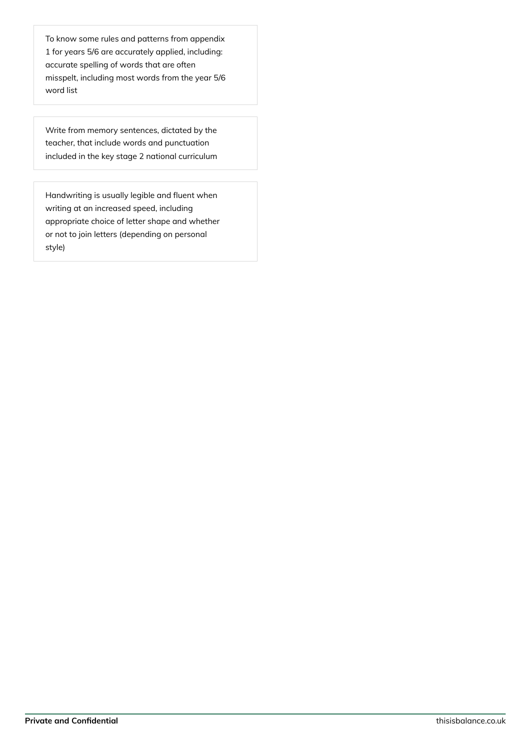To know some rules and patterns from appendix 1 for years 5/6 are accurately applied, including: accurate spelling of words that are often misspelt, including most words from the year 5/6 word list

Write from memory sentences, dictated by the teacher, that include words and punctuation included in the key stage 2 national curriculum

Handwriting is usually legible and fluent when writing at an increased speed, including appropriate choice of letter shape and whether or not to join letters (depending on personal style)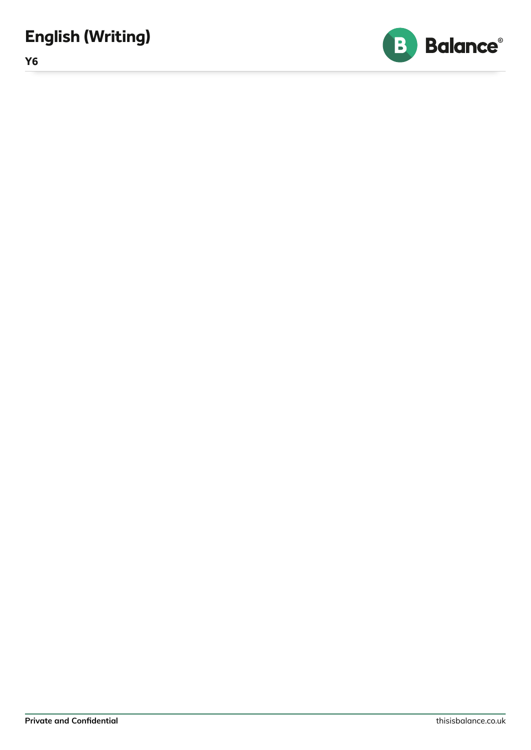

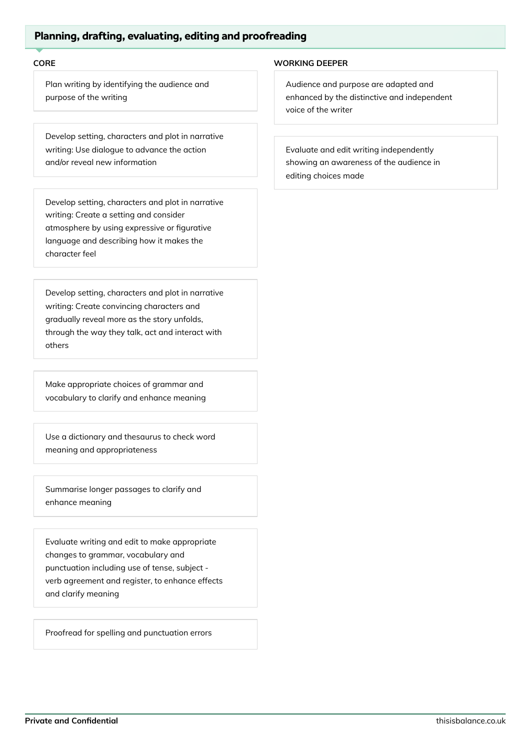#### **CORE**

Plan writing by identifying the audience and purpose of the writing

Develop setting, characters and plot in narrative writing: Use dialogue to advance the action and/or reveal new information

Develop setting, characters and plot in narrative writing: Create a setting and consider atmosphere by using expressive or figurative language and describing how it makes the character feel

Develop setting, characters and plot in narrative writing: Create convincing characters and gradually reveal more as the story unfolds, through the way they talk, act and interact with others

Make appropriate choices of grammar and vocabulary to clarify and enhance meaning

Use a dictionary and thesaurus to check word meaning and appropriateness

Summarise longer passages to clarify and enhance meaning

Evaluate writing and edit to make appropriate changes to grammar, vocabulary and punctuation including use of tense, subject verb agreement and register, to enhance effects and clarify meaning

Proofread for spelling and punctuation errors

### **WORKING DEEPER**

Audience and purpose are adapted and enhanced by the distinctive and independent voice of the writer

Evaluate and edit writing independently showing an awareness of the audience in editing choices made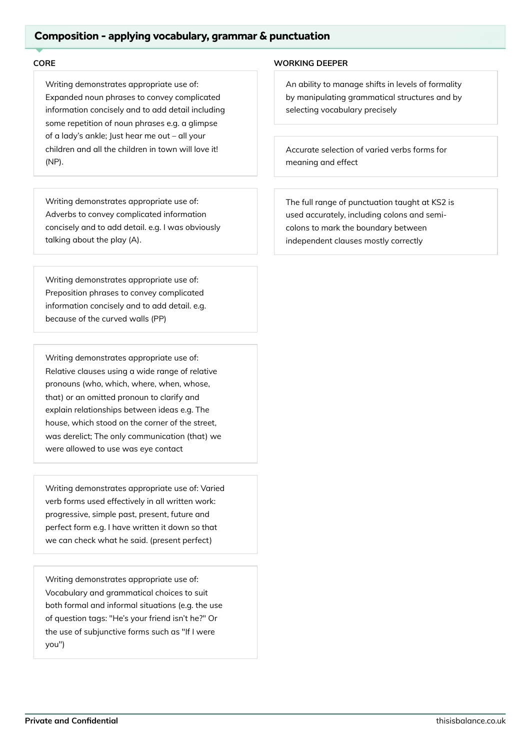Writing demonstrates appropriate use of: Expanded noun phrases to convey complicated information concisely and to add detail including some repetition of noun phrases e.g. a glimpse of a lady's ankle; Just hear me out – all your children and all the children in town will love it! (NP).

Writing demonstrates appropriate use of: Adverbs to convey complicated information concisely and to add detail. e.g. I was obviously talking about the play (A).

Writing demonstrates appropriate use of: Preposition phrases to convey complicated information concisely and to add detail. e.g. because of the curved walls (PP)

Writing demonstrates appropriate use of: Relative clauses using a wide range of relative pronouns (who, which, where, when, whose, that) or an omitted pronoun to clarify and explain relationships between ideas e.g. The house, which stood on the corner of the street, was derelict; The only communication (that) we were allowed to use was eye contact

Writing demonstrates appropriate use of: Varied verb forms used effectively in all written work: progressive, simple past, present, future and perfect form e.g. I have written it down so that we can check what he said. (present perfect)

Writing demonstrates appropriate use of: Vocabulary and grammatical choices to suit both formal and informal situations (e.g. the use of question tags: "He's your friend isn't he?" Or the use of subjunctive forms such as "If I were you")

### **WORKING DEEPER**

An ability to manage shifts in levels of formality by manipulating grammatical structures and by selecting vocabulary precisely

Accurate selection of varied verbs forms for meaning and effect

The full range of punctuation taught at KS2 is used accurately, including colons and semicolons to mark the boundary between independent clauses mostly correctly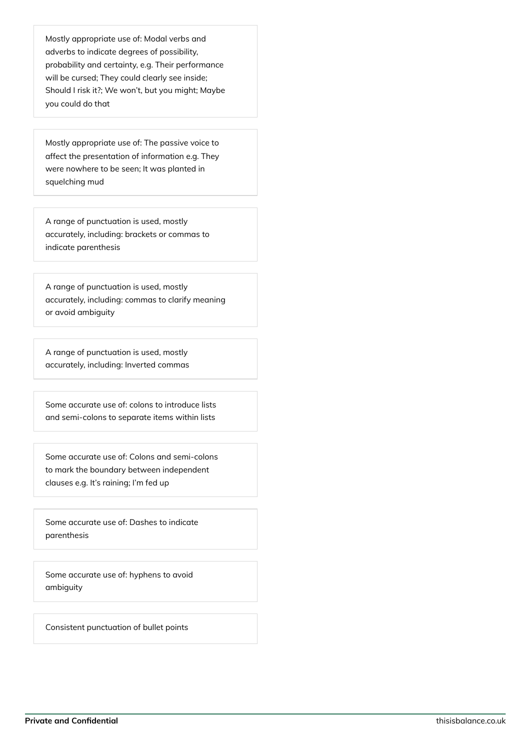Mostly appropriate use of: Modal verbs and adverbs to indicate degrees of possibility, probability and certainty, e.g. Their performance will be cursed; They could clearly see inside; Should I risk it?; We won't, but you might; Maybe you could do that

Mostly appropriate use of: The passive voice to affect the presentation of information e.g. They were nowhere to be seen; It was planted in squelching mud

A range of punctuation is used, mostly accurately, including: brackets or commas to indicate parenthesis

A range of punctuation is used, mostly accurately, including: commas to clarify meaning or avoid ambiguity

A range of punctuation is used, mostly accurately, including: Inverted commas

Some accurate use of: colons to introduce lists and semi-colons to separate items within lists

Some accurate use of: Colons and semi-colons to mark the boundary between independent clauses e.g. It's raining; I'm fed up

Some accurate use of: Dashes to indicate parenthesis

Some accurate use of: hyphens to avoid ambiguity

Consistent punctuation of bullet points